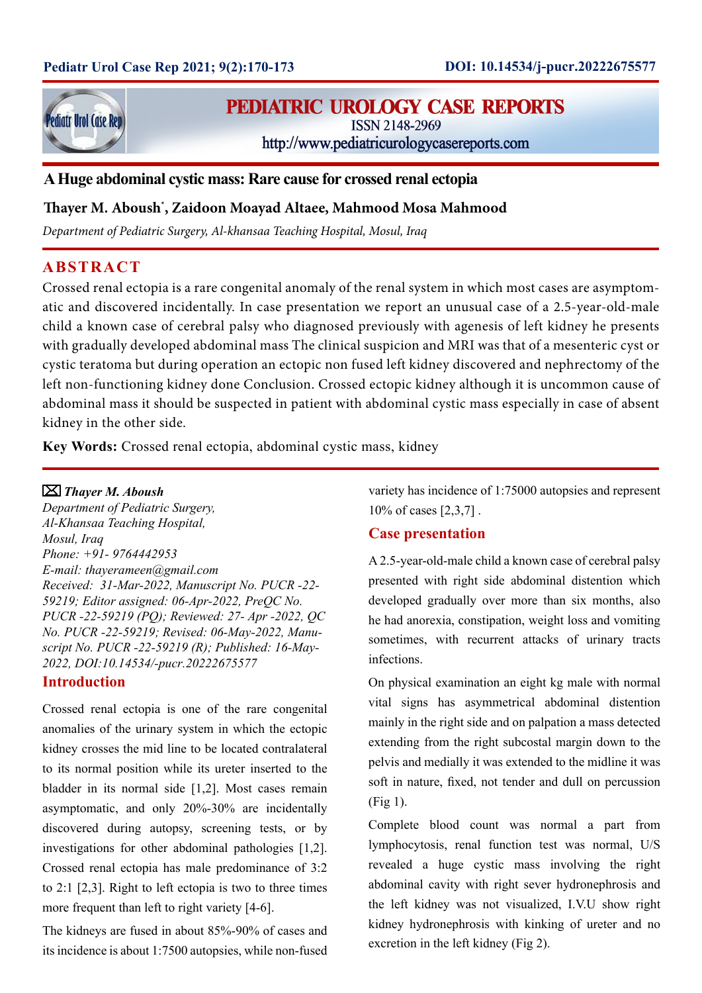

# **PEDIATRIC UROLOGY CASE REPORTS**

**ISSN 2148-2969** 

http://www.pediatricurologycasereports.com

**A Huge abdominal cystic mass: Rare cause for crossed renal ectopia**

## **Thayer M. Aboush\* , Zaidoon Moayad Altaee, Mahmood Mosa Mahmood**

*Department of Pediatric Surgery, Al-khansaa Teaching Hospital, Mosul, Iraq*

## **ABSTRACT**

Crossed renal ectopia is a rare congenital anomaly of the renal system in which most cases are asymptomatic and discovered incidentally. In case presentation we report an unusual case of a 2.5-year-old-male child a known case of cerebral palsy who diagnosed previously with agenesis of left kidney he presents with gradually developed abdominal mass The clinical suspicion and MRI was that of a mesenteric cyst or cystic teratoma but during operation an ectopic non fused left kidney discovered and nephrectomy of the left non-functioning kidney done Conclusion. Crossed ectopic kidney although it is uncommon cause of abdominal mass it should be suspected in patient with abdominal cystic mass especially in case of absent kidney in the other side.

**Key Words:** Crossed renal ectopia, abdominal cystic mass, kidney

## *Thayer M. Aboush*

*Department of Pediatric Surgery, Al-Khansaa Teaching Hospital, Mosul, Iraq Phone: +91- 9764442953 E-mail: thayerameen@gmail.com Received: 31-Mar-2022, Manuscript No. PUCR -22- 59219; Editor assigned: 06-Apr-2022, PreQC No. PUCR -22-59219 (PQ); Reviewed: 27- Apr -2022, QC No. PUCR -22-59219; Revised: 06-May-2022, Manuscript No. PUCR -22-59219 (R); Published: 16-May-*2022, DOI:10.14534/-pucr.20222675577

## **Introduction**

Crossed renal ectopia is one of the rare congenital anomalies of the urinary system in which the ectopic kidney crosses the mid line to be located contralateral to its normal position while its ureter inserted to the bladder in its normal side [1,2]. Most cases remain asymptomatic, and only 20%-30% are incidentally discovered during autopsy, screening tests, or by investigations for other abdominal pathologies [1,2]. Crossed renal ectopia has male predominance of 3:2 to 2:1 [2,3]. Right to left ectopia is two to three times more frequent than left to right variety [4-6].

The kidneys are fused in about 85%-90% of cases and its incidence is about 1:7500 autopsies, while non-fused variety has incidence of 1:75000 autopsies and represent 10% of cases [2,3,7] .

## **Case presentation**

A 2.5-year-old-male child a known case of cerebral palsy presented with right side abdominal distention which developed gradually over more than six months, also he had anorexia, constipation, weight loss and vomiting sometimes, with recurrent attacks of urinary tracts infections.

On physical examination an eight kg male with normal vital signs has asymmetrical abdominal distention mainly in the right side and on palpation a mass detected extending from the right subcostal margin down to the pelvis and medially it was extended to the midline it was soft in nature, fixed, not tender and dull on percussion (Fig 1).

Complete blood count was normal a part from lymphocytosis, renal function test was normal, U/S revealed a huge cystic mass involving the right abdominal cavity with right sever hydronephrosis and the left kidney was not visualized, I.V.U show right kidney hydronephrosis with kinking of ureter and no excretion in the left kidney (Fig 2).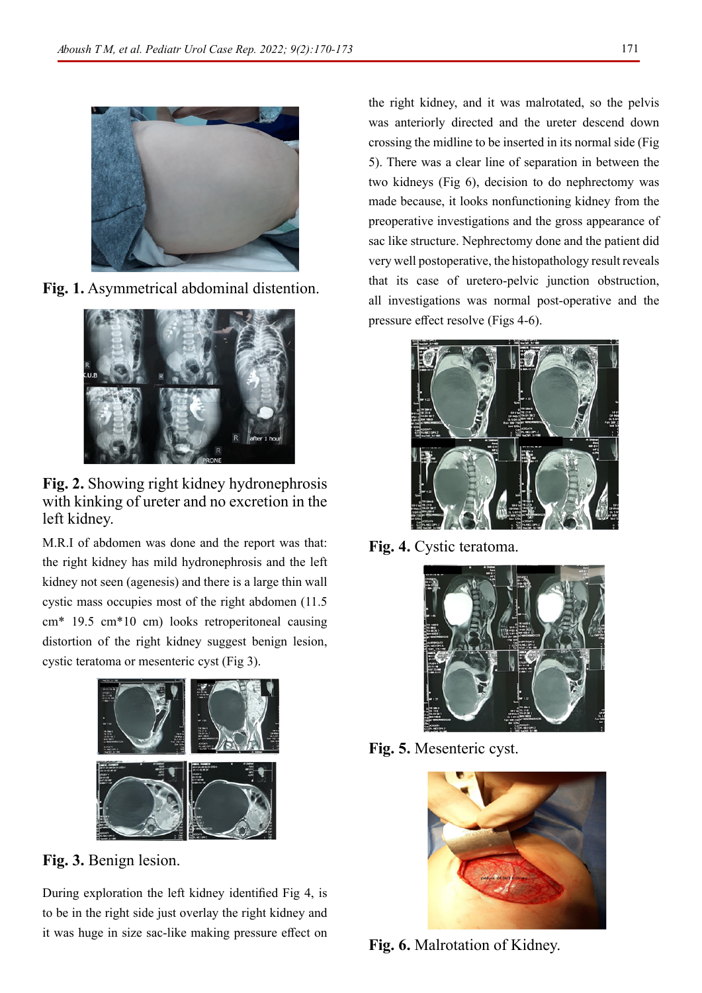

**Fig. 1.** Asymmetrical abdominal distention.



**Fig. 2.** Showing right kidney hydronephrosis with kinking of ureter and no excretion in the left kidney.

M.R.I of abdomen was done and the report was that: the right kidney has mild hydronephrosis and the left kidney not seen (agenesis) and there is a large thin wall cystic mass occupies most of the right abdomen (11.5 cm\* 19.5 cm\*10 cm) looks retroperitoneal causing distortion of the right kidney suggest benign lesion, cystic teratoma or mesenteric cyst (Fig 3).



**Fig. 3.** Benign lesion.

During exploration the left kidney identified Fig 4, is to be in the right side just overlay the right kidney and it was huge in size sac-like making pressure effect on the right kidney, and it was malrotated, so the pelvis was anteriorly directed and the ureter descend down crossing the midline to be inserted in its normal side (Fig 5). There was a clear line of separation in between the two kidneys (Fig 6), decision to do nephrectomy was made because, it looks nonfunctioning kidney from the preoperative investigations and the gross appearance of sac like structure. Nephrectomy done and the patient did very well postoperative, the histopathology result reveals that its case of uretero-pelvic junction obstruction, all investigations was normal post-operative and the pressure effect resolve (Figs 4-6).



**Fig. 4.** Cystic teratoma.



**Fig. 5.** Mesenteric cyst.



**Fig. 6.** Malrotation of Kidney.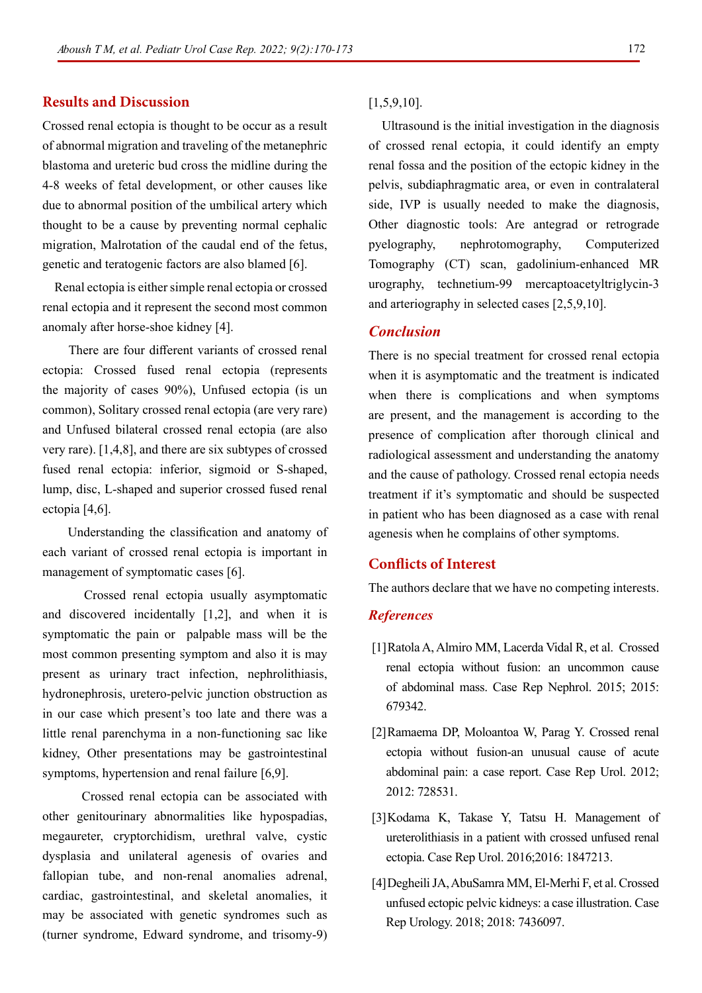## **Results and Discussion**

Crossed renal ectopia is thought to be occur as a result of abnormal migration and traveling of the metanephric blastoma and ureteric bud cross the midline during the 4-8 weeks of fetal development, or other causes like due to abnormal position of the umbilical artery which thought to be a cause by preventing normal cephalic migration, Malrotation of the caudal end of the fetus, genetic and teratogenic factors are also blamed [6].

 Renal ectopia is either simple renal ectopia or crossed renal ectopia and it represent the second most common anomaly after horse-shoe kidney [4].

 There are four different variants of crossed renal ectopia: Crossed fused renal ectopia (represents the majority of cases 90%), Unfused ectopia (is un common), Solitary crossed renal ectopia (are very rare) and Unfused bilateral crossed renal ectopia (are also very rare). [1,4,8], and there are six subtypes of crossed fused renal ectopia: inferior, sigmoid or S-shaped, lump, disc, L-shaped and superior crossed fused renal ectopia [4,6].

 Understanding the classification and anatomy of each variant of crossed renal ectopia is important in management of symptomatic cases [6].

 Crossed renal ectopia usually asymptomatic and discovered incidentally [1,2], and when it is symptomatic the pain or palpable mass will be the most common presenting symptom and also it is may present as urinary tract infection, nephrolithiasis, hydronephrosis, uretero-pelvic junction obstruction as in our case which present's too late and there was a little renal parenchyma in a non-functioning sac like kidney, Other presentations may be gastrointestinal symptoms, hypertension and renal failure [6,9].

 Crossed renal ectopia can be associated with other genitourinary abnormalities like hypospadias, megaureter, cryptorchidism, urethral valve, cystic dysplasia and unilateral agenesis of ovaries and fallopian tube, and non-renal anomalies adrenal, cardiac, gastrointestinal, and skeletal anomalies, it may be associated with genetic syndromes such as (turner syndrome, Edward syndrome, and trisomy-9) [1,5,9,10].

 Ultrasound is the initial investigation in the diagnosis of crossed renal ectopia, it could identify an empty renal fossa and the position of the ectopic kidney in the pelvis, subdiaphragmatic area, or even in contralateral side, IVP is usually needed to make the diagnosis, Other diagnostic tools: Are antegrad or retrograde pyelography, nephrotomography, Computerized Tomography (CT) scan, gadolinium-enhanced MR urography, technetium-99 mercaptoacetyltriglycin-3 and arteriography in selected cases [2,5,9,10].

## *Conclusion*

There is no special treatment for crossed renal ectopia when it is asymptomatic and the treatment is indicated when there is complications and when symptoms are present, and the management is according to the presence of complication after thorough clinical and radiological assessment and understanding the anatomy and the cause of pathology. Crossed renal ectopia needs treatment if it's symptomatic and should be suspected in patient who has been diagnosed as a case with renal agenesis when he complains of other symptoms.

## **Conflicts of Interest**

The authors declare that we have no competing interests.

### *References*

- [1]Ratola A, Almiro MM, Lacerda Vidal R, et al. [Crossed](https://www.hindawi.com/journals/crin/2015/679342/) [renal ectopia without fusion: an uncommon cause](https://www.hindawi.com/journals/crin/2015/679342/) [of abdominal mass.](https://www.hindawi.com/journals/crin/2015/679342/) Case Rep Nephrol. 2015; 2015: 679342.
- [2]Ramaema DP, Moloantoa W, Parag Y. [Crossed renal](https://www.hindawi.com/journals/criu/2012/728531/) [ectopia without fusion-an unusual cause of acute](https://www.hindawi.com/journals/criu/2012/728531/) [abdominal pain: a case report.](https://www.hindawi.com/journals/criu/2012/728531/) Case Rep Urol. 2012; 2012: 728531.
- [3]Kodama K, Takase Y, Tatsu H. [Management of](https://www.hindawi.com/journals/criu/2016/1847213/) [ureterolithiasis in a patient with crossed unfused renal](https://www.hindawi.com/journals/criu/2016/1847213/) [ectopia.](https://www.hindawi.com/journals/criu/2016/1847213/) Case Rep Urol. 2016;2016: 1847213.
- [4]Degheili JA, AbuSamra MM, El-Merhi F, et al. [Crossed](https://www.hindawi.com/journals/criu/2018/7436097/) [unfused ectopic pelvic kidneys: a case illustration.](https://www.hindawi.com/journals/criu/2018/7436097/) Case Rep Urology. 2018; 2018: 7436097.